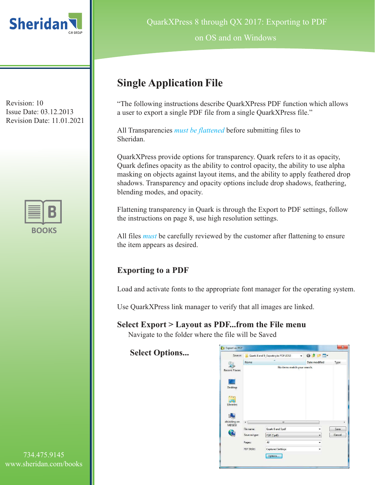



QuarkXPress 8 through QX 2017: Exporting to PDF

on OS and on Windows

# **Single Application File**

"The following instructions describe QuarkXPress PDF function which allows a user to export a single PDF file from a single QuarkXPress file."

All Transparencies *must be flattened* before submitting files to Sheridan.

QuarkXPress provide options for transparency. Quark refers to it as opacity, Quark defines opacity as the ability to control opacity, the ability to use alpha masking on objects against layout items, and the ability to apply feathered drop shadows. Transparency and opacity options include drop shadows, feathering, blending modes, and opacity.

Flattening transparency in Quark is through the Export to PDF settings, follow the instructions on page 8, use high resolution settings.

All files *must* be carefully reviewed by the customer after flattening to ensure the item appears as desired.

# **Exporting to a PDF**

Load and activate fonts to the appropriate font manager for the operating system.

Use QuarkXPress link manager to verify that all images are linked.

### **Select Export > Layout as PDF...from the File menu**

Navigate to the folder where the file will be Saved

**Select Options...**

| Save in:             |               | Quark 8 and 9_Exporting to PDF-2012 | $-$ 000 $-$   |        |
|----------------------|---------------|-------------------------------------|---------------|--------|
|                      | Name          | ۸                                   | Date modified | Type   |
| <b>Recent Places</b> |               | No items match your search.         |               |        |
| Desktop              |               |                                     |               |        |
| <b>STAR</b>          |               |                                     |               |        |
| Libraries            |               |                                     |               |        |
| dbidding on          | $\epsilon$    | $\overline{m}$                      |               |        |
| <b>MDSDB</b>         | File name:    | Quark 8 and 9.pdf                   |               | Save   |
|                      | Save as type: | PDF ("pdf)                          |               | Cancel |
|                      | Pages:        | All                                 | ۰             |        |
|                      | PDF Style:    | Captured Settings                   | ۰             |        |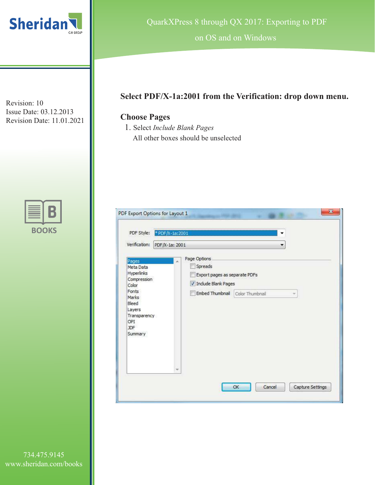



QuarkXPress 8 through QX 2017: Exporting to PDF

on OS and on Windows

# **Select PDF/X-1a:2001 from the Verification: drop down menu.**

# **Choose Pages**

1. Select *Include Blank Pages* All other boxes should be unselected

| PDF Style: * PDF/X-1a:2001                                                        | ۰                                        |
|-----------------------------------------------------------------------------------|------------------------------------------|
| Verification:<br>PDF/X-1a: 2001                                                   |                                          |
| Pages                                                                             | Page Options<br>×                        |
| Meta Data<br>Hyperlinks                                                           | Spreads<br>Export pages as separate PDFs |
| Compression<br>Color                                                              | Tinclude Blank Pages                     |
| Fonts<br>Marks<br>Bleed<br>Layers<br>Transparency<br>OPI<br><b>JDF</b><br>Summary | Embed Thumbnail Color Thumbnail<br>÷     |
|                                                                                   | ٠                                        |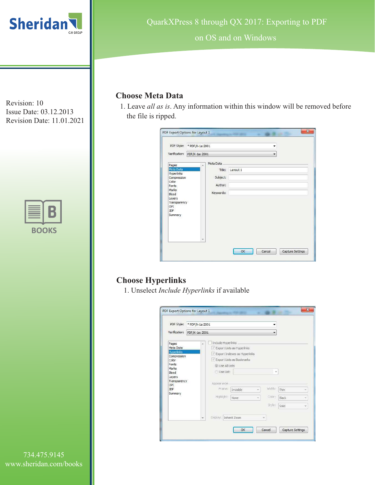



QuarkXPress 8 through QX 2017: Exporting to PDF

on OS and on Windows

### **Choose Meta Data**

1. Leave *all as is*. Any information within this window will be removed before the file is ripped.

| PDF Style: * PDF/X-1a:2001     |                | ۰        |
|--------------------------------|----------------|----------|
| Verification: PDF/X-1a: 2001   |                | ▼        |
| Pages                          | Meta Data<br>× |          |
| Meta Data<br><b>Hyperlinks</b> | Title:         | Layout 1 |
| Compression                    | Subject:       |          |
| Color<br>Fonts                 | Author:        |          |
| Marks                          | Keywords:      |          |
| Bleed<br>Layers                |                |          |
| Transparency<br>OPI            |                |          |
| <b>JDF</b>                     |                |          |
| Summary                        |                |          |
|                                |                |          |
|                                |                |          |
|                                |                |          |
|                                |                |          |

# **Choose Hyperlinks**

1. Unselect *Include Hyperlinks* if available

| PDF Style:                       | *PDF/X-1a:2001 |                       |                                                                |          |        |       |  |
|----------------------------------|----------------|-----------------------|----------------------------------------------------------------|----------|--------|-------|--|
| Verification:                    | PDF/X-1a: 2001 |                       |                                                                |          |        |       |  |
| Pages<br>Meta Data               | ÿ.             | Include Hyperlinks    |                                                                |          |        |       |  |
| <b>Hyperlinks</b><br>Compression |                |                       | V Export Lists as Hyperlinks<br>V Export Indexes as Hyperlinks |          |        |       |  |
| Color                            |                |                       | V Export Lists as Bookmarks                                    |          |        |       |  |
| Fonts<br>Marks                   |                |                       | @ Use All Lists                                                |          |        |       |  |
| Bleed<br>Layers                  |                | Use List:             |                                                                |          | $\sim$ |       |  |
| Transparency<br>OPI              |                | Appearance-           |                                                                |          |        |       |  |
| JDF<br>Summary                   |                | Framer                | Invisible                                                      | w.       | Width: | Thin  |  |
|                                  |                | Highlight:            | None                                                           | $\infty$ | Color: | Black |  |
|                                  |                |                       |                                                                |          | Style: | Solid |  |
|                                  |                | Display: Inherit Zoom |                                                                |          | ÷      |       |  |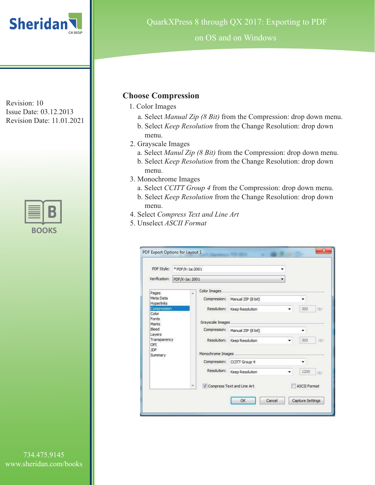



QuarkXPress 8 through QX 2017: Exporting to PDF

on OS and on Windows

### **Choose Compression**

- 1. Color Images
	- a. Select *Manual Zip (8 Bit)* from the Compression: drop down menu.
	- b. Select *Keep Resolution* from the Change Resolution: drop down menu.
- 2. Grayscale Images
	- a. Select *Manul Zip (8 Bit)* from the Compression: drop down menu.
	- b. Select *Keep Resolution* from the Change Resolution: drop down menu.
- 3. Monochrome Images
	- a. Select *CCITT Group 4* from the Compression: drop down menu.
	- b. Select *Keep Resolution* from the Change Resolution: drop down menu.
- 4. Select *Compress Text and Line Art*
- 5. Unselect *ASCII Format*

| PDF Style:                     | *PDF/X-1a:2001 |                   |                            | 호                   |
|--------------------------------|----------------|-------------------|----------------------------|---------------------|
| Verification:                  | PDF/X-1a: 2001 |                   |                            | ÷                   |
| Pages                          | à.             | Color Images      |                            |                     |
| Meta Data<br><b>Hyperlinks</b> |                | Compression:      | Manual ZIP (8 bit)         | ▼                   |
| Compression<br>Color           |                | Resolution:       | Keep Resolution            | 300<br>dpi          |
| Fonts<br>Marks                 |                | Grayscale Images  |                            |                     |
| Bleed<br>Layers                |                | Compression:      | Manual ZIP (8 bit)         | ▼                   |
| Transparency<br>OPI            |                | Resolution:       | Keep Resolution            | 300<br>dpi          |
| <b>JDF</b><br>Summary          |                | Monochrome Images |                            |                     |
|                                |                |                   | Compression: CCITT Group 4 |                     |
|                                |                | Resolution:       | Keep Resolution            | 1200<br>dpi         |
|                                |                |                   | Compress Text and Line Art | <b>ASCII Format</b> |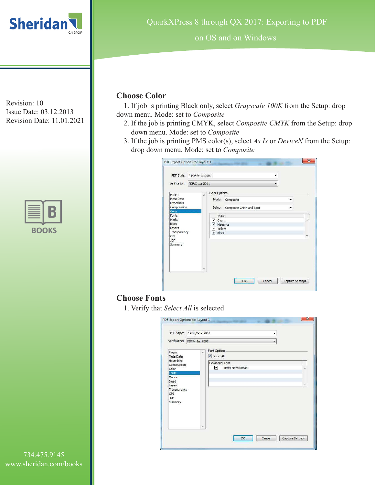



on OS and on Windows

### **Choose Color**

1. If job is printing Black only, select *Grayscale 100K* from the Setup: drop down menu. Mode: set to *Composite*

- 2. If the job is printing CMYK, select *Composite CMYK* from the Setup: drop down menu. Mode: set to *Composite*
- 3. If the job is printing PMS color(s), select *As Is* or *DeviceN* from the Setup: drop down menu. Mode: set to *Composite*

|                                                                                                                                        | PDF Style: * PDF/X-1a:2001   |                                                                                                    |                                      |                  |
|----------------------------------------------------------------------------------------------------------------------------------------|------------------------------|----------------------------------------------------------------------------------------------------|--------------------------------------|------------------|
|                                                                                                                                        | Verification: PDF/X-1a: 2001 |                                                                                                    |                                      | ۰                |
| Pages<br>Meta Data<br>Hyperlinks<br>Compression<br>Color<br>Fonts<br>Marks<br>Bleed<br>Layers<br>Transparency<br>OPI<br>JDF<br>Summary | ä                            | Color Options<br>Mode:<br>Setup:<br>Plate<br>$\vee$ Cyan<br>⊻<br>Magenta<br>V Yellow<br>Black<br>⊡ | Composite<br>Composite CMYK and Spot | ٠                |
|                                                                                                                                        | ÷                            |                                                                                                    | OK<br>Cancel                         | Capture Settings |

# **Choose Fonts**

1. Verify that *Select All* is selected

|                                                                   | PDF Style: * PDF/X-1a:2001 | ۰                                             |    |
|-------------------------------------------------------------------|----------------------------|-----------------------------------------------|----|
| Verification:                                                     | PDF/X-1a: 2001             | $\overline{\phantom{a}}$                      |    |
| Pages<br>Meta Data<br>Hyperlinks                                  | ż                          | Font Options<br>V Select All<br>Download Font |    |
| Compression<br>Color<br>Fonts                                     |                            | ☑<br><b>Times New Roman</b>                   | ×  |
| Marks<br>Bleed<br>Layers<br>Transparency<br>OPI<br>JDF<br>Summary |                            |                                               | w. |
|                                                                   | ٠                          |                                               |    |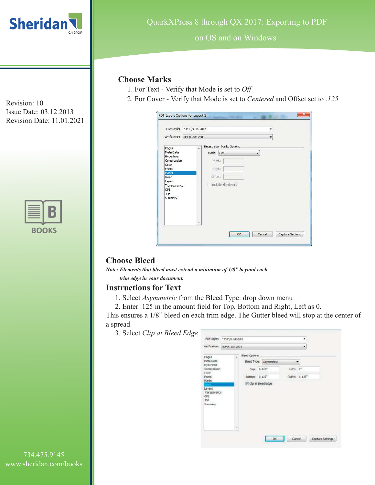

Issue Date: 03.12.2013 Revision Date: 11.01.2021

| к<br>OO I | K S |
|-----------|-----|

#### on OS and on Windows

### **Choose Marks**

1. For Text - Verify that Mode is set to *Off*

2. For Cover *-* Verify that Mode is set to *Centered* and Offset set to .*<sup>125</sup>* Revision: 10

| PDF Style:                                                                                                                                    | *PDF/X-1a:2001 |                                                                                                     |
|-----------------------------------------------------------------------------------------------------------------------------------------------|----------------|-----------------------------------------------------------------------------------------------------|
| Verification:                                                                                                                                 | PDF/X-1a: 2001 | ۰                                                                                                   |
| Pages<br>Meta Data<br><b>Hyperlinks</b><br>Compression<br>Color<br>Fonts<br>Marks<br>Bleed<br>Layers<br>Transparency<br>OPI<br>JDF<br>Summary | s.             | Registration Marks Options<br>Mode: Off<br>٠<br>Width:<br>Length:<br>Offset:<br>Include Bleed Marks |
|                                                                                                                                               |                |                                                                                                     |

# **Choose Bleed**

*Note: Elements that bleed must extend a minimum of 1/8" beyond each* 

*trim edge in your document.*

#### **Instructions for Text**

- 1. Select *Asymmetric* from the Bleed Type: drop down menu
- 2. Enter .125 in the amount field for Top, Bottom and Right, Left as 0.

This ensures a 1/8" bleed on each trim edge. The Gutter bleed will stop at the center of a spread.

3. Select *Clip at Bleed Edge*

|                                                                                                                               | Verification: FDF/K 1a: 2001 |                                                                                  |                        |       | ۰                                     |  |
|-------------------------------------------------------------------------------------------------------------------------------|------------------------------|----------------------------------------------------------------------------------|------------------------|-------|---------------------------------------|--|
| Fages<br>Meta Data<br>Hyperlinks<br>Compression<br>Color<br>Fonts<br>Marks<br>Layers<br>transparency<br>OPT.<br>DF<br>Summary | ×                            | Bleed Options<br>$700 = 0.125$ *<br>Bottom 0.125 <sup>*</sup><br>Up at Beed Edge | Bleed Type: Asymmetric | Left: | $\sigma$<br>Right: 0.125 <sup>*</sup> |  |
|                                                                                                                               | ×                            |                                                                                  |                        |       |                                       |  |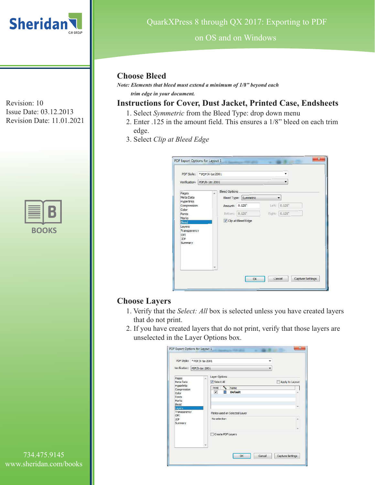



#### on OS and on Windows

### **Choose Bleed**

*Note: Elements that bleed must extend a minimum of 1/8" beyond each trim edge in your document.*

# **Instructions for Cover, Dust Jacket, Printed Case, Endsheets**

- 1. Select *Symmetric* from the Bleed Type: drop down menu
- 2. Enter .125 in the amount field. This ensures a 1/8" bleed on each trim edge.
- 3. Select *Clip at Bleed Edge*

|                                                        | PDF Style: * PDF/X-1a:2001   |                      |                       |       |                      |  |
|--------------------------------------------------------|------------------------------|----------------------|-----------------------|-------|----------------------|--|
|                                                        | Verification: PDF/X-1a: 2001 |                      |                       |       |                      |  |
| Pages                                                  | ù                            | <b>Bleed Options</b> |                       |       |                      |  |
| Meta Data                                              |                              |                      | Bleed Type: Symmetric |       | ۰                    |  |
| Hyperlinks<br>Compression                              |                              | Amount: 0.125"       |                       | Left: | $0.125$ <sup>*</sup> |  |
| Color<br>Fonts                                         |                              | Bottom: 0.125"       |                       |       | Right: 0.125"        |  |
| Marks<br>Bleed                                         |                              | Clip at Bleed Edge   |                       |       |                      |  |
| Layers<br>Transparency<br>OPI<br><b>JDF</b><br>Summary |                              |                      |                       |       |                      |  |
|                                                        |                              |                      |                       |       |                      |  |

# **Choose Layers**

- 1. Verify that the *Select: All* box is selected unless you have created layers that do not print.
- 2. If you have created layers that do not print, verify that those layers are unselected in the Layer Options box.

|                                                  | PDF Style: * PDF/X-1a:2001 | ۰                                               |                  |
|--------------------------------------------------|----------------------------|-------------------------------------------------|------------------|
| Verification:                                    | PDF/X-1a: 2001             | $\overline{\phantom{0}}$                        |                  |
| Pages<br>Meta Data<br><b>Hyperlinks</b>          | A                          | Layer Options<br>V Select All                   | Apply to Layout  |
| Compression<br>Color<br>Fonts.<br>Marks<br>Bleed |                            | ٩.<br>Print<br>Name<br>☑<br><b>Default</b><br>鬸 |                  |
| Layers<br>Transparency                           |                            |                                                 | ÷                |
| OPI<br>JDF<br>Summary                            |                            | Plates used on Selected Layer<br>No selection   | ×                |
|                                                  |                            | Create PDF Lavers                               |                  |
|                                                  |                            | OK<br>Cancel                                    | Capture Settings |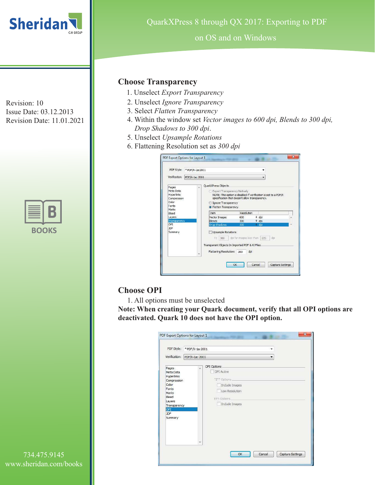



on OS and on Windows

### **Choose Transparency**

- 1. Unselect *Export Transparency*
- 2. Unselect *Ignore Transparency*
- 3. Select *Flatten Transparency*
- 4. Within the window set *Vector images to 600 dpi, Blends to 300 dpi, Drop Shadows to 300 dpi*.
- 5. Unselect *Upsample Rotations*
- 6. Flattening Resolution set as *300 dpi*

| PDF Style:<br>Verification:                                              | *PDF/X-1a:2001 |                                                                                                                                                                                                                           |                                 |  |                          |  |
|--------------------------------------------------------------------------|----------------|---------------------------------------------------------------------------------------------------------------------------------------------------------------------------------------------------------------------------|---------------------------------|--|--------------------------|--|
|                                                                          | PDF/X-1a: 2001 |                                                                                                                                                                                                                           |                                 |  |                          |  |
| Pages<br>Meta Data<br><b>Hyperlinks</b><br>Compression<br>Color<br>Fonts | ú.             | QuarkXPress Objects<br>Export Transparency Natively<br>NOTE: This option is disabled if verification is set to a PDF/X<br>specification that doesn't allow transparency.<br>Ignore Transparency<br>• Flatten Transparency |                                 |  |                          |  |
| Marks<br>Bleed<br>Lavers<br>Transparency                                 |                | <b>Item</b><br>Vector Images<br><b>Blends</b>                                                                                                                                                                             | Resolution<br>600<br>300        |  | $\div$ dpi<br>$\div$ dpi |  |
| OPT.<br><b>IDE</b><br>Summary                                            |                | Drop Shadows<br><b>Upsample Rotations</b><br>Tö                                                                                                                                                                           | 300<br>dpi for images less than |  | $\bullet$ dpi            |  |
|                                                                          |                | 300<br>Transparent Objects In Imported PDF & AI Files<br>Flattening Resolution: 300                                                                                                                                       | dpi                             |  | 225<br>dpi               |  |

# **Choose OPI**

1. All options must be unselected

**Note: When creating your Quark document, verify that all OPI options are deactivated. Quark 10 does not have the OPI option.**

|                                                                                                                                                      | PDF Style: * PDF/X-1a:2001                    |                                                                    |        |                  |
|------------------------------------------------------------------------------------------------------------------------------------------------------|-----------------------------------------------|--------------------------------------------------------------------|--------|------------------|
| Verification:                                                                                                                                        | PDF/X-1a: 2001                                |                                                                    |        |                  |
| Pages<br>Meta Data<br><b>Hyperlinks</b><br>Compression<br>Color<br>Fonts<br>Marks<br>Bleed<br>Layers<br>Transparency<br>OPI<br><b>JDF</b><br>Summary | OPI Options<br>×<br>OPI Active<br>EPS Options | TIFF Options<br>Include Images<br>Low Resolution<br>Include Images |        |                  |
|                                                                                                                                                      |                                               | OK                                                                 | Cancel | Capture Settings |